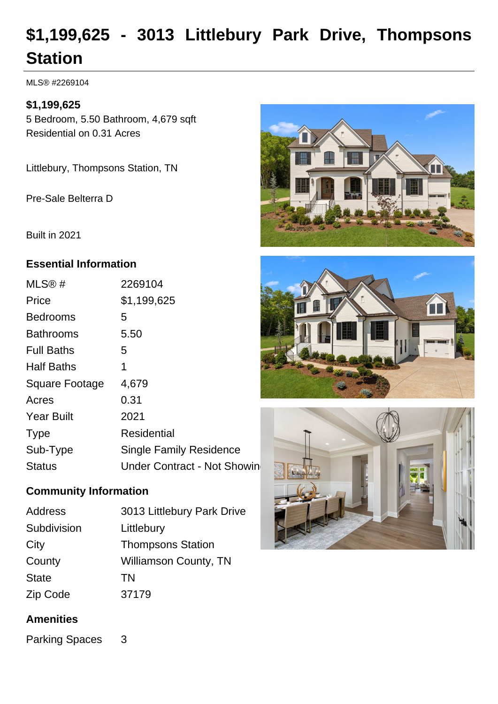# **\$1,199,625 - 3013 Littlebury Park Drive, Thompsons Station**

MLS® #2269104

## **\$1,199,625**

5 Bedroom, 5.50 Bathroom, 4,679 sqft Residential on 0.31 Acres

Littlebury, Thompsons Station, TN

Pre-Sale Belterra D

Built in 2021

## **Essential Information**

| MLS@#                 | 2269104                        |
|-----------------------|--------------------------------|
| Price                 | \$1,199,625                    |
| <b>Bedrooms</b>       | 5                              |
| <b>Bathrooms</b>      | 5.50                           |
| <b>Full Baths</b>     | 5                              |
| <b>Half Baths</b>     | 1                              |
| <b>Square Footage</b> | 4,679                          |
| Acres                 | 0.31                           |
| <b>Year Built</b>     | 2021                           |
| <b>Type</b>           | <b>Residential</b>             |
|                       |                                |
| Sub-Type              | <b>Single Family Residence</b> |

# **Community Information**

| Address      | 3013 Littlebury Park Drive   |
|--------------|------------------------------|
| Subdivision  | Littlebury                   |
| City         | <b>Thompsons Station</b>     |
| County       | <b>Williamson County, TN</b> |
| <b>State</b> | <b>TN</b>                    |
| Zip Code     | 37179                        |

# **Amenities**

Parking Spaces 3